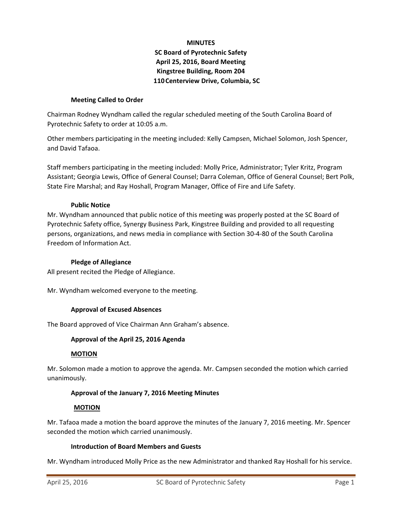# **MINUTES SC Board of Pyrotechnic Safety April 25, 2016, Board Meeting Kingstree Building, Room 204 110Centerview Drive, Columbia, SC**

#### **Meeting Called to Order**

Chairman Rodney Wyndham called the regular scheduled meeting of the South Carolina Board of Pyrotechnic Safety to order at 10:05 a.m.

Other members participating in the meeting included: Kelly Campsen, Michael Solomon, Josh Spencer, and David Tafaoa.

Staff members participating in the meeting included: Molly Price, Administrator; Tyler Kritz, Program Assistant; Georgia Lewis, Office of General Counsel; Darra Coleman, Office of General Counsel; Bert Polk, State Fire Marshal; and Ray Hoshall, Program Manager, Office of Fire and Life Safety.

#### **Public Notice**

Mr. Wyndham announced that public notice of this meeting was properly posted at the SC Board of Pyrotechnic Safety office, Synergy Business Park, Kingstree Building and provided to all requesting persons, organizations, and news media in compliance with Section 30‐4‐80 of the South Carolina Freedom of Information Act.

#### **Pledge of Allegiance**

All present recited the Pledge of Allegiance.

Mr. Wyndham welcomed everyone to the meeting.

#### **Approval of Excused Absences**

The Board approved of Vice Chairman Ann Graham's absence.

#### **Approval of the April 25, 2016 Agenda**

#### **MOTION**

Mr. Solomon made a motion to approve the agenda. Mr. Campsen seconded the motion which carried unanimously.

### **Approval of the January 7, 2016 Meeting Minutes**

### **MOTION**

Mr. Tafaoa made a motion the board approve the minutes of the January 7, 2016 meeting. Mr. Spencer seconded the motion which carried unanimously.

#### **Introduction of Board Members and Guests**

Mr. Wyndham introduced Molly Price as the new Administrator and thanked Ray Hoshall for his service.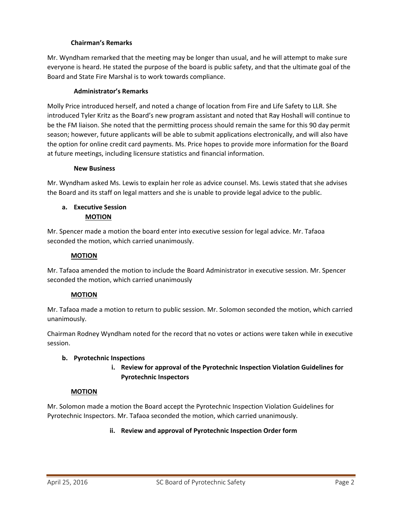### **Chairman's Remarks**

Mr. Wyndham remarked that the meeting may be longer than usual, and he will attempt to make sure everyone is heard. He stated the purpose of the board is public safety, and that the ultimate goal of the Board and State Fire Marshal is to work towards compliance.

### **Administrator's Remarks**

Molly Price introduced herself, and noted a change of location from Fire and Life Safety to LLR. She introduced Tyler Kritz as the Board's new program assistant and noted that Ray Hoshall will continue to be the FM liaison. She noted that the permitting process should remain the same for this 90 day permit season; however, future applicants will be able to submit applications electronically, and will also have the option for online credit card payments. Ms. Price hopes to provide more information for the Board at future meetings, including licensure statistics and financial information.

### **New Business**

Mr. Wyndham asked Ms. Lewis to explain her role as advice counsel. Ms. Lewis stated that she advises the Board and its staff on legal matters and she is unable to provide legal advice to the public.

#### **a. Executive Session MOTION**

Mr. Spencer made a motion the board enter into executive session for legal advice. Mr. Tafaoa seconded the motion, which carried unanimously.

### **MOTION**

Mr. Tafaoa amended the motion to include the Board Administrator in executive session. Mr. Spencer seconded the motion, which carried unanimously

### **MOTION**

Mr. Tafaoa made a motion to return to public session. Mr. Solomon seconded the motion, which carried unanimously.

Chairman Rodney Wyndham noted for the record that no votes or actions were taken while in executive session.

### **b. Pyrotechnic Inspections**

# **i. Review for approval of the Pyrotechnic Inspection Violation Guidelines for Pyrotechnic Inspectors**

### **MOTION**

Mr. Solomon made a motion the Board accept the Pyrotechnic Inspection Violation Guidelines for Pyrotechnic Inspectors. Mr. Tafaoa seconded the motion, which carried unanimously.

### **ii. Review and approval of Pyrotechnic Inspection Order form**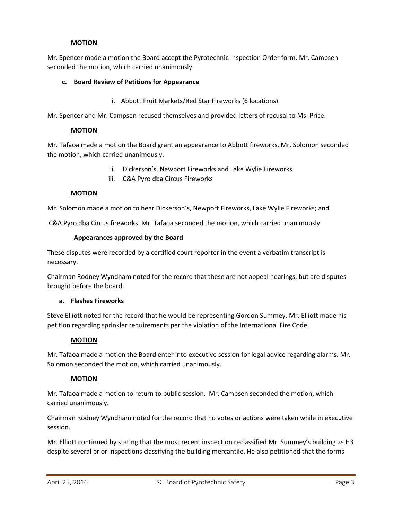#### **MOTION**

Mr. Spencer made a motion the Board accept the Pyrotechnic Inspection Order form. Mr. Campsen seconded the motion, which carried unanimously.

#### **c. Board Review of Petitions for Appearance**

i. Abbott Fruit Markets/Red Star Fireworks (6 locations)

Mr. Spencer and Mr. Campsen recused themselves and provided letters of recusal to Ms. Price.

#### **MOTION**

Mr. Tafaoa made a motion the Board grant an appearance to Abbott fireworks. Mr. Solomon seconded the motion, which carried unanimously.

- ii. Dickerson's, Newport Fireworks and Lake Wylie Fireworks
- iii. C&A Pyro dba Circus Fireworks

#### **MOTION**

Mr. Solomon made a motion to hear Dickerson's, Newport Fireworks, Lake Wylie Fireworks; and

C&A Pyro dba Circus fireworks. Mr. Tafaoa seconded the motion, which carried unanimously.

#### **Appearances approved by the Board**

These disputes were recorded by a certified court reporter in the event a verbatim transcript is necessary.

Chairman Rodney Wyndham noted for the record that these are not appeal hearings, but are disputes brought before the board.

#### **a. Flashes Fireworks**

Steve Elliott noted for the record that he would be representing Gordon Summey. Mr. Elliott made his petition regarding sprinkler requirements per the violation of the International Fire Code.

#### **MOTION**

Mr. Tafaoa made a motion the Board enter into executive session for legal advice regarding alarms. Mr. Solomon seconded the motion, which carried unanimously.

#### **MOTION**

Mr. Tafaoa made a motion to return to public session. Mr. Campsen seconded the motion, which carried unanimously.

Chairman Rodney Wyndham noted for the record that no votes or actions were taken while in executive session.

Mr. Elliott continued by stating that the most recent inspection reclassified Mr. Summey's building as H3 despite several prior inspections classifying the building mercantile. He also petitioned that the forms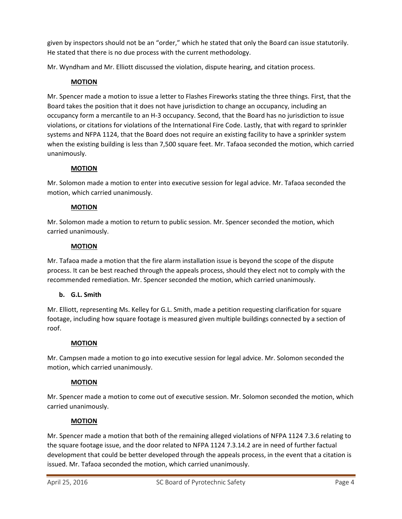given by inspectors should not be an "order," which he stated that only the Board can issue statutorily. He stated that there is no due process with the current methodology.

Mr. Wyndham and Mr. Elliott discussed the violation, dispute hearing, and citation process.

## **MOTION**

Mr. Spencer made a motion to issue a letter to Flashes Fireworks stating the three things. First, that the Board takes the position that it does not have jurisdiction to change an occupancy, including an occupancy form a mercantile to an H‐3 occupancy. Second, that the Board has no jurisdiction to issue violations, or citations for violations of the International Fire Code. Lastly, that with regard to sprinkler systems and NFPA 1124, that the Board does not require an existing facility to have a sprinkler system when the existing building is less than 7,500 square feet. Mr. Tafaoa seconded the motion, which carried unanimously.

## **MOTION**

Mr. Solomon made a motion to enter into executive session for legal advice. Mr. Tafaoa seconded the motion, which carried unanimously.

### **MOTION**

Mr. Solomon made a motion to return to public session. Mr. Spencer seconded the motion, which carried unanimously.

### **MOTION**

Mr. Tafaoa made a motion that the fire alarm installation issue is beyond the scope of the dispute process. It can be best reached through the appeals process, should they elect not to comply with the recommended remediation. Mr. Spencer seconded the motion, which carried unanimously.

### **b. G.L. Smith**

Mr. Elliott, representing Ms. Kelley for G.L. Smith, made a petition requesting clarification for square footage, including how square footage is measured given multiple buildings connected by a section of roof.

### **MOTION**

Mr. Campsen made a motion to go into executive session for legal advice. Mr. Solomon seconded the motion, which carried unanimously.

### **MOTION**

Mr. Spencer made a motion to come out of executive session. Mr. Solomon seconded the motion, which carried unanimously.

### **MOTION**

Mr. Spencer made a motion that both of the remaining alleged violations of NFPA 1124 7.3.6 relating to the square footage issue, and the door related to NFPA 1124 7.3.14.2 are in need of further factual development that could be better developed through the appeals process, in the event that a citation is issued. Mr. Tafaoa seconded the motion, which carried unanimously.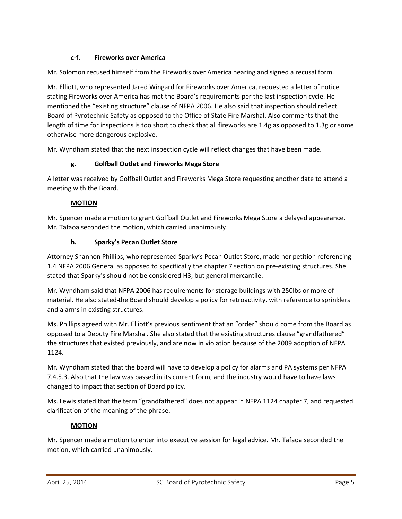# **c‐f. Fireworks over America**

Mr. Solomon recused himself from the Fireworks over America hearing and signed a recusal form.

Mr. Elliott, who represented Jared Wingard for Fireworks over America, requested a letter of notice stating Fireworks over America has met the Board's requirements per the last inspection cycle. He mentioned the "existing structure" clause of NFPA 2006. He also said that inspection should reflect Board of Pyrotechnic Safety as opposed to the Office of State Fire Marshal. Also comments that the length of time for inspections is too short to check that all fireworks are 1.4g as opposed to 1.3g or some otherwise more dangerous explosive.

Mr. Wyndham stated that the next inspection cycle will reflect changes that have been made.

# **g. Golfball Outlet and Fireworks Mega Store**

A letter was received by Golfball Outlet and Fireworks Mega Store requesting another date to attend a meeting with the Board.

## **MOTION**

Mr. Spencer made a motion to grant Golfball Outlet and Fireworks Mega Store a delayed appearance. Mr. Tafaoa seconded the motion, which carried unanimously

# **h. Sparky's Pecan Outlet Store**

Attorney Shannon Phillips, who represented Sparky's Pecan Outlet Store, made her petition referencing 1.4 NFPA 2006 General as opposed to specifically the chapter 7 section on pre‐existing structures. She stated that Sparky's should not be considered H3, but general mercantile.

Mr. Wyndham said that NFPA 2006 has requirements for storage buildings with 250lbs or more of material. He also stated the Board should develop a policy for retroactivity, with reference to sprinklers and alarms in existing structures.

Ms. Phillips agreed with Mr. Elliott's previous sentiment that an "order" should come from the Board as opposed to a Deputy Fire Marshal. She also stated that the existing structures clause "grandfathered" the structures that existed previously, and are now in violation because of the 2009 adoption of NFPA 1124.

Mr. Wyndham stated that the board will have to develop a policy for alarms and PA systems per NFPA 7.4.5.3. Also that the law was passed in its current form, and the industry would have to have laws changed to impact that section of Board policy.

Ms. Lewis stated that the term "grandfathered" does not appear in NFPA 1124 chapter 7, and requested clarification of the meaning of the phrase.

# **MOTION**

Mr. Spencer made a motion to enter into executive session for legal advice. Mr. Tafaoa seconded the motion, which carried unanimously.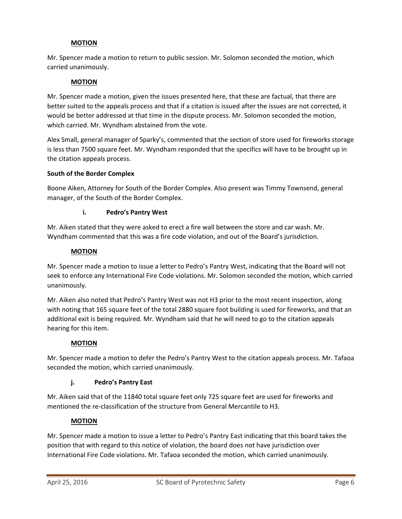### **MOTION**

Mr. Spencer made a motion to return to public session. Mr. Solomon seconded the motion, which carried unanimously.

#### **MOTION**

Mr. Spencer made a motion, given the issues presented here, that these are factual, that there are better suited to the appeals process and that if a citation is issued after the issues are not corrected, it would be better addressed at that time in the dispute process. Mr. Solomon seconded the motion, which carried. Mr. Wyndham abstained from the vote.

Alex Small, general manager of Sparky's, commented that the section of store used for fireworks storage is less than 7500 square feet. Mr. Wyndham responded that the specifics will have to be brought up in the citation appeals process.

#### **South of the Border Complex**

Boone Aiken, Attorney for South of the Border Complex. Also present was Timmy Townsend, general manager, of the South of the Border Complex.

#### **i. Pedro's Pantry West**

Mr. Aiken stated that they were asked to erect a fire wall between the store and car wash. Mr. Wyndham commented that this was a fire code violation, and out of the Board's jurisdiction.

#### **MOTION**

Mr. Spencer made a motion to issue a letter to Pedro's Pantry West, indicating that the Board will not seek to enforce any International Fire Code violations. Mr. Solomon seconded the motion, which carried unanimously.

Mr. Aiken also noted that Pedro's Pantry West was not H3 prior to the most recent inspection, along with noting that 165 square feet of the total 2880 square foot building is used for fireworks, and that an additional exit is being required. Mr. Wyndham said that he will need to go to the citation appeals hearing for this item.

### **MOTION**

Mr. Spencer made a motion to defer the Pedro's Pantry West to the citation appeals process. Mr. Tafaoa seconded the motion, which carried unanimously.

### **j. Pedro's Pantry East**

Mr. Aiken said that of the 11840 total square feet only 725 square feet are used for fireworks and mentioned the re-classification of the structure from General Mercantile to H3.

### **MOTION**

Mr. Spencer made a motion to issue a letter to Pedro's Pantry East indicating that this board takes the position that with regard to this notice of violation, the board does not have jurisdiction over International Fire Code violations. Mr. Tafaoa seconded the motion, which carried unanimously.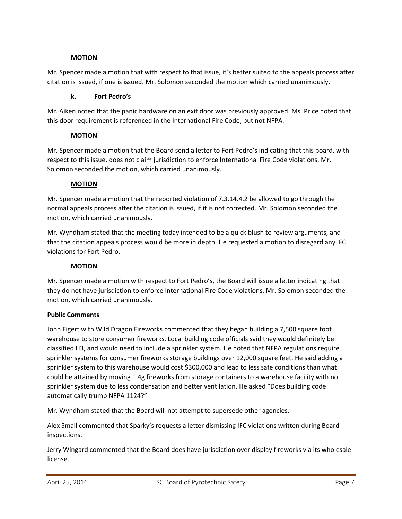## **MOTION**

Mr. Spencer made a motion that with respect to that issue, it's better suited to the appeals process after citation is issued, if one is issued. Mr. Solomon seconded the motion which carried unanimously.

### **k. Fort Pedro's**

Mr. Aiken noted that the panic hardware on an exit door was previously approved. Ms. Price noted that this door requirement is referenced in the International Fire Code, but not NFPA.

## **MOTION**

Mr. Spencer made a motion that the Board send a letter to Fort Pedro's indicating that this board, with respect to this issue, does not claim jurisdiction to enforce International Fire Code violations. Mr. Solomon-seconded the motion, which carried unanimously.

## **MOTION**

Mr. Spencer made a motion that the reported violation of 7.3.14.4.2 be allowed to go through the normal appeals process after the citation is issued, if it is not corrected. Mr. Solomon seconded the motion, which carried unanimously.

Mr. Wyndham stated that the meeting today intended to be a quick blush to review arguments, and that the citation appeals process would be more in depth. He requested a motion to disregard any IFC violations for Fort Pedro.

### **MOTION**

Mr. Spencer made a motion with respect to Fort Pedro's, the Board will issue a letter indicating that they do not have jurisdiction to enforce International Fire Code violations. Mr. Solomon seconded the motion, which carried unanimously.

### **Public Comments**

John Figert with Wild Dragon Fireworks commented that they began building a 7,500 square foot warehouse to store consumer fireworks. Local building code officials said they would definitely be classified H3, and would need to include a sprinkler system. He noted that NFPA regulations require sprinkler systems for consumer fireworks storage buildings over 12,000 square feet. He said adding a sprinkler system to this warehouse would cost \$300,000 and lead to less safe conditions than what could be attained by moving 1.4g fireworks from storage containers to a warehouse facility with no sprinkler system due to less condensation and better ventilation. He asked "Does building code automatically trump NFPA 1124?"

Mr. Wyndham stated that the Board will not attempt to supersede other agencies.

Alex Small commented that Sparky's requests a letter dismissing IFC violations written during Board inspections.

Jerry Wingard commented that the Board does have jurisdiction over display fireworks via its wholesale license.